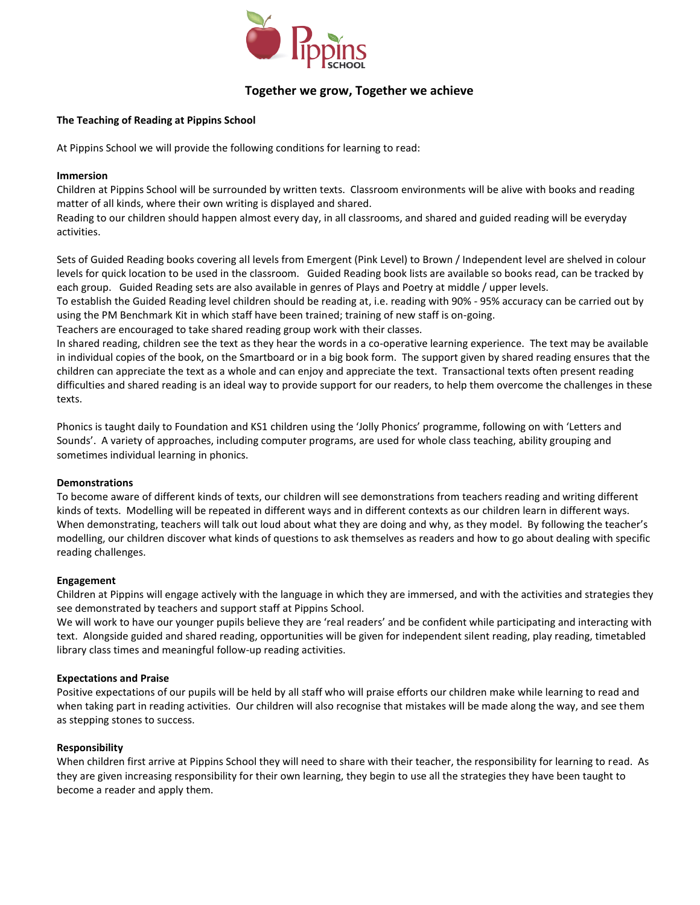

# **Together we grow, Together we achieve**

# **The Teaching of Reading at Pippins School**

At Pippins School we will provide the following conditions for learning to read:

# **Immersion**

Children at Pippins School will be surrounded by written texts. Classroom environments will be alive with books and reading matter of all kinds, where their own writing is displayed and shared.

Reading to our children should happen almost every day, in all classrooms, and shared and guided reading will be everyday activities.

Sets of Guided Reading books covering all levels from Emergent (Pink Level) to Brown / Independent level are shelved in colour levels for quick location to be used in the classroom. Guided Reading book lists are available so books read, can be tracked by each group. Guided Reading sets are also available in genres of Plays and Poetry at middle / upper levels.

To establish the Guided Reading level children should be reading at, i.e. reading with 90% - 95% accuracy can be carried out by using the PM Benchmark Kit in which staff have been trained; training of new staff is on-going.

Teachers are encouraged to take shared reading group work with their classes.

In shared reading, children see the text as they hear the words in a co-operative learning experience. The text may be available in individual copies of the book, on the Smartboard or in a big book form. The support given by shared reading ensures that the children can appreciate the text as a whole and can enjoy and appreciate the text. Transactional texts often present reading difficulties and shared reading is an ideal way to provide support for our readers, to help them overcome the challenges in these texts.

Phonics is taught daily to Foundation and KS1 children using the 'Jolly Phonics' programme, following on with 'Letters and Sounds'. A variety of approaches, including computer programs, are used for whole class teaching, ability grouping and sometimes individual learning in phonics.

#### **Demonstrations**

To become aware of different kinds of texts, our children will see demonstrations from teachers reading and writing different kinds of texts. Modelling will be repeated in different ways and in different contexts as our children learn in different ways. When demonstrating, teachers will talk out loud about what they are doing and why, as they model. By following the teacher's modelling, our children discover what kinds of questions to ask themselves as readers and how to go about dealing with specific reading challenges.

# **Engagement**

Children at Pippins will engage actively with the language in which they are immersed, and with the activities and strategies they see demonstrated by teachers and support staff at Pippins School.

We will work to have our younger pupils believe they are 'real readers' and be confident while participating and interacting with text. Alongside guided and shared reading, opportunities will be given for independent silent reading, play reading, timetabled library class times and meaningful follow-up reading activities.

#### **Expectations and Praise**

Positive expectations of our pupils will be held by all staff who will praise efforts our children make while learning to read and when taking part in reading activities. Our children will also recognise that mistakes will be made along the way, and see them as stepping stones to success.

#### **Responsibility**

When children first arrive at Pippins School they will need to share with their teacher, the responsibility for learning to read. As they are given increasing responsibility for their own learning, they begin to use all the strategies they have been taught to become a reader and apply them.